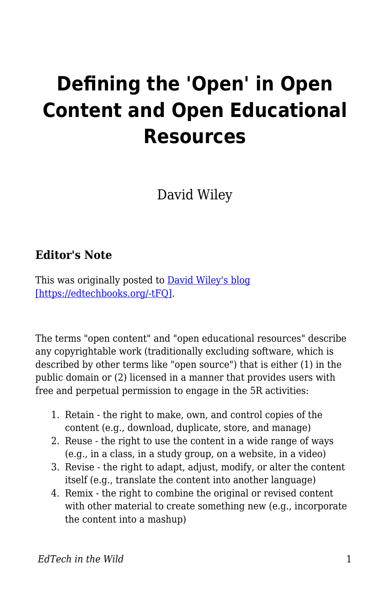## **Defining the 'Open' in Open Content and Open Educational Resources**

David Wiley

## **Editor's Note**

This was originally posted to **David Wiley's blog** [\[https://edtechbooks.org/-tFQ\].](http://opencontent.org/definition/)

The terms "open content" and "open educational resources" describe any copyrightable work (traditionally excluding software, which is described by other terms like "open source") that is either (1) in the public domain or (2) licensed in a manner that provides users with free and perpetual permission to engage in the 5R activities:

- 1. Retain the right to make, own, and control copies of the content (e.g., download, duplicate, store, and manage)
- 2. Reuse the right to use the content in a wide range of ways (e.g., in a class, in a study group, on a website, in a video)
- 3. Revise the right to adapt, adjust, modify, or alter the content itself (e.g., translate the content into another language)
- 4. Remix the right to combine the original or revised content with other material to create something new (e.g., incorporate the content into a mashup)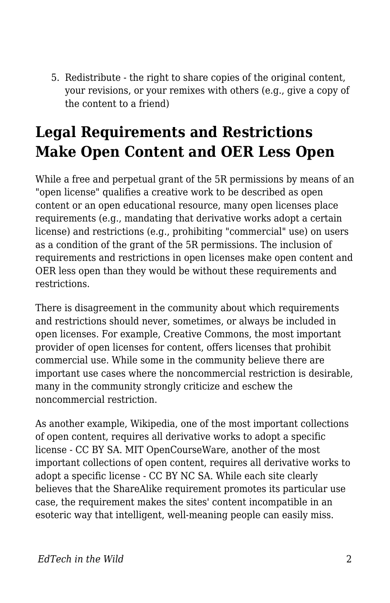5. Redistribute - the right to share copies of the original content, your revisions, or your remixes with others (e.g., give a copy of the content to a friend)

## **Legal Requirements and Restrictions Make Open Content and OER Less Open**

While a free and perpetual grant of the 5R permissions by means of an "open license" qualifies a creative work to be described as open content or an open educational resource, many open licenses place requirements (e.g., mandating that derivative works adopt a certain license) and restrictions (e.g., prohibiting "commercial" use) on users as a condition of the grant of the 5R permissions. The inclusion of requirements and restrictions in open licenses make open content and OER less open than they would be without these requirements and restrictions.

There is disagreement in the community about which requirements and restrictions should never, sometimes, or always be included in open licenses. For example, Creative Commons, the most important provider of open licenses for content, offers licenses that prohibit commercial use. While some in the community believe there are important use cases where the noncommercial restriction is desirable, many in the community strongly criticize and eschew the noncommercial restriction.

As another example, Wikipedia, one of the most important collections of open content, requires all derivative works to adopt a specific license - CC BY SA. MIT OpenCourseWare, another of the most important collections of open content, requires all derivative works to adopt a specific license - CC BY NC SA. While each site clearly believes that the ShareAlike requirement promotes its particular use case, the requirement makes the sites' content incompatible in an esoteric way that intelligent, well-meaning people can easily miss.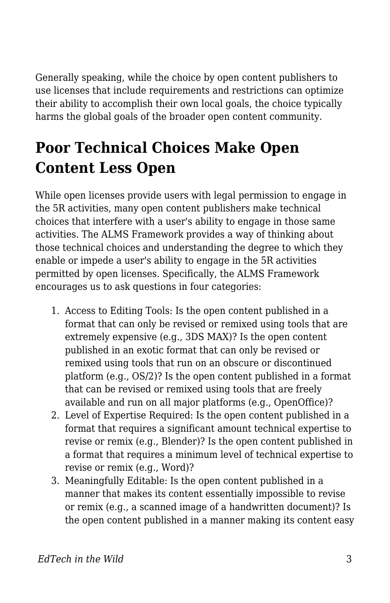Generally speaking, while the choice by open content publishers to use licenses that include requirements and restrictions can optimize their ability to accomplish their own local goals, the choice typically harms the global goals of the broader open content community.

## **Poor Technical Choices Make Open Content Less Open**

While open licenses provide users with legal permission to engage in the 5R activities, many open content publishers make technical choices that interfere with a user's ability to engage in those same activities. The ALMS Framework provides a way of thinking about those technical choices and understanding the degree to which they enable or impede a user's ability to engage in the 5R activities permitted by open licenses. Specifically, the ALMS Framework encourages us to ask questions in four categories:

- 1. Access to Editing Tools: Is the open content published in a format that can only be revised or remixed using tools that are extremely expensive (e.g., 3DS MAX)? Is the open content published in an exotic format that can only be revised or remixed using tools that run on an obscure or discontinued platform (e.g., OS/2)? Is the open content published in a format that can be revised or remixed using tools that are freely available and run on all major platforms (e.g., OpenOffice)?
- 2. Level of Expertise Required: Is the open content published in a format that requires a significant amount technical expertise to revise or remix (e.g., Blender)? Is the open content published in a format that requires a minimum level of technical expertise to revise or remix (e.g., Word)?
- 3. Meaningfully Editable: Is the open content published in a manner that makes its content essentially impossible to revise or remix (e.g., a scanned image of a handwritten document)? Is the open content published in a manner making its content easy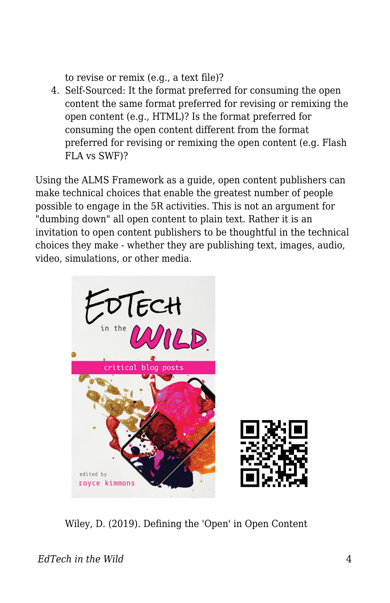to revise or remix (e.g., a text file)?

4. Self-Sourced: It the format preferred for consuming the open content the same format preferred for revising or remixing the open content (e.g., HTML)? Is the format preferred for consuming the open content different from the format preferred for revising or remixing the open content (e.g. Flash FLA vs SWF)?

Using the ALMS Framework as a guide, open content publishers can make technical choices that enable the greatest number of people possible to engage in the 5R activities. This is not an argument for "dumbing down" all open content to plain text. Rather it is an invitation to open content publishers to be thoughtful in the technical choices they make - whether they are publishing text, images, audio, video, simulations, or other media.



Wiley, D. (2019). Defining the 'Open' in Open Content